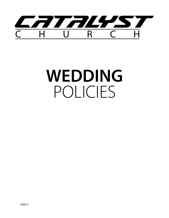

# **WEDDING** POLICIES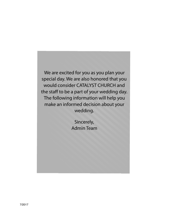We are excited for you as you plan your special day. We are also honored that you would consider CATALYST CHURCH and the staff to be a part of your wedding day. The following information will help you make an informed decision about your wedding.

> Sincerely, Admin Team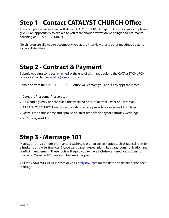# **Step 1 - Contact CATALYST CHURCH Office**

This visit, phone call or email will allow CATALYST CHURCH to get to know you as a couple and give us an opportunity to explain to you more about how we do weddings and pre-marital coaching at CATALYST CHURCH.

No children are allowed to accompany you at the interview or any other meetings, so as not to be a distraction.

#### **Step 2 - Contract & Payment**

Submit wedding contract (attached at the end of this handbook) to the CATALYST CHURCH office or email to [bernadette@ignitephx.com](mailto:bernadette@ignitephx.com)

Someone from the CATALYST CHURCH office will contact you about any applicable fees.

- Dates are first come, first serve.
- No weddings may be scheduled the weekend prior, of or after Easter or Christmas.
- All CATALYST CHURCH events on the calendar take precedence over wedding dates.
- 10am is the earliest time and 3pm is the latest time of the day for Saturday weddings.
- No Sunday weddings.

#### **Step 3 - Marriage 101**

Marriage 101 is a 2-hour pre-marital coaching class that covers topics such as Biblical roles for a husband and wife, finances, 5 Love Languages, expectations, baggage, communication and conflict management. These tools will equip you to have a Christ-centered and successful marriage. Marriage 101 happens 3-4 times per year.

Call the CATALYST CHURCH office or visit *[CatalystAZ.com](http://CatalystAZ.com)* for the date and details of the next Marriage 101.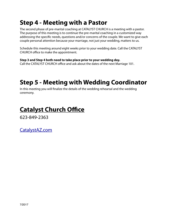## **Step 4 - Meeting with a Pastor**

The second phase of pre-marital coaching at CATALYST CHURCH is a meeting with a pastor. The purpose of this meeting is to continue the pre-marital coaching in a customized way addressing the specific needs, questions and/or concerns of the couple. We want to give each couple personal attention because your marriage, not just your wedding, matters to us.

Schedule this meeting around eight weeks prior to your wedding date. Call the CATALYST CHURCH office to make the appointment.

**Step 3 and Step 4 both need to take place prior to your wedding day.** Call the CATALYST CHURCH office and ask about the dates of the next Marriage 101.

# **Step 5 - Meeting with Wedding Coordinator**

In this meeting you will finalize the details of the wedding rehearsal and the wedding ceremony.

# **Catalyst Church Office**

623-849-2363

[CatalystAZ.com](http://CatalystAZ.com)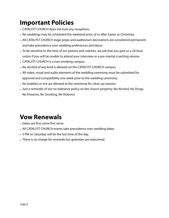## **Important Policies**

- CATALYST CHURCH does not host any receptions.
- No weddings may be scheduled the weekend prior, of or after Easter or Christmas.
- All CATALYST CHURCH stage props and auditorium decorations are considered permanent and take precedence over wedding preferences and decor.
- To be sensitive to the time of our pastors and coaches, we ask that you give us a 24-hour notice if you will be unable to attend your interview or a pre-marital coaching session.
- CATALYST CHURCH is a non-smoking campus.
- No alcohol of any kind is allowed on the CATALYST CHURCH campus.
- All video, visual and audio elements of the wedding ceremony must be submitted for approval and compatibility one week prior to the wedding ceremony.
- No bubbles or rice are allowed at the ceremony for clean up reasons.
- Just a reminder of our no tolerance policy on the church property: No Alcohol, No Drugs, No Firearms, No Smoking, No Violence

#### **Vow Renewals**

- Dates are first come first serve.
- All CATALYST CHURCH events take precedence over wedding dates.
- 3 PM on Saturday will be the last time of the day.
- There is no charge for renewals but gratuities are welcomed.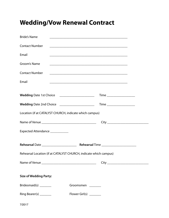# **Wedding/Vow Renewal Contract**

| <b>Bride's Name</b>              |                                                                   |                                                                                                                      |  |  |
|----------------------------------|-------------------------------------------------------------------|----------------------------------------------------------------------------------------------------------------------|--|--|
| <b>Contact Number</b>            |                                                                   |                                                                                                                      |  |  |
| Email                            |                                                                   |                                                                                                                      |  |  |
| Groom's Name                     |                                                                   |                                                                                                                      |  |  |
| <b>Contact Number</b>            |                                                                   |                                                                                                                      |  |  |
| Email                            |                                                                   | <u> 2008 - Jan James James James James James James James James James James James James James James James James J</u> |  |  |
|                                  | Wedding Date 1st Choice _______________________                   |                                                                                                                      |  |  |
|                                  | Wedding Date 2nd Choice _______________________                   |                                                                                                                      |  |  |
|                                  | Location (if at CATALYST CHURCH, indicate which campus)           |                                                                                                                      |  |  |
|                                  |                                                                   |                                                                                                                      |  |  |
| Expected Attendance ____________ |                                                                   |                                                                                                                      |  |  |
|                                  |                                                                   |                                                                                                                      |  |  |
|                                  | Rehearsal Location (if at CATALYST CHURCH, indicate which campus) |                                                                                                                      |  |  |
|                                  |                                                                   |                                                                                                                      |  |  |
| <b>Size of Wedding Party:</b>    |                                                                   |                                                                                                                      |  |  |
| Bridesmaid(s) ________           | Groomsmen                                                         |                                                                                                                      |  |  |
|                                  |                                                                   |                                                                                                                      |  |  |